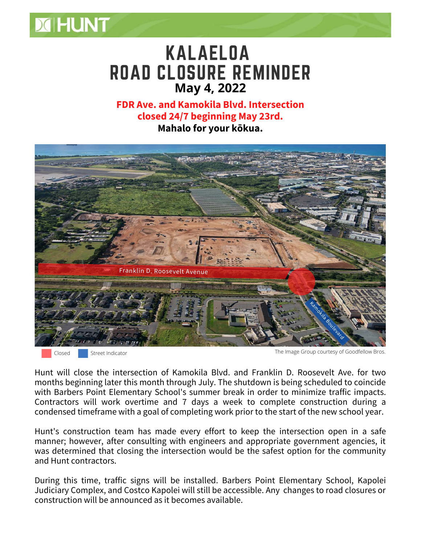

**FDR Ave. and Kamokila Blvd. Intersection closed 24/7 beginning May 23rd. Mahalo for your kōkua.**



Closed Street Indicator

**MHUNT** 

The Image Group courtesy of Goodfellow Bros.

Hunt will close the intersection of Kamokila Blvd. and Franklin D. Roosevelt Ave. for two months beginning later this month through July. The shutdown is being scheduled to coincide with Barbers Point Elementary School's summer break in order to minimize traffic impacts. Contractors will work overtime and 7 days a week to complete construction during a condensed timeframe with a goal of completing work prior to the start of the new school year.

Hunt's construction team has made every effort to keep the intersection open in a safe manner; however, after consulting with engineers and appropriate government agencies, it was determined that closing the intersection would be the safest option for the community and Hunt contractors.

During this time, traffic signs will be installed. Barbers Point Elementary School, Kapolei Judiciary Complex, and Costco Kapolei will still be accessible. Any changes to road closures or construction will be announced as it becomes available.